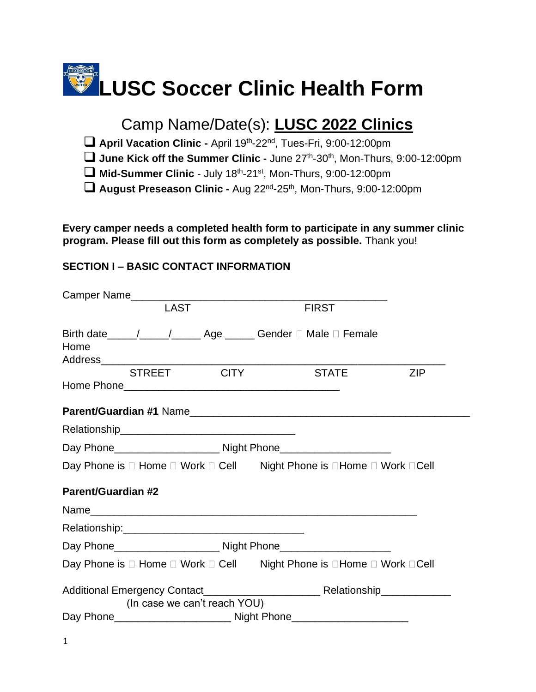# **LUSC Soccer Clinic Health Form**

## Camp Name/Date(s): **LUSC 2022 Clinics**

□ April Vacation Clinic - April 19th-22<sup>nd</sup>, Tues-Fri, 9:00-12:00pm

□ June Kick off the Summer Clinic - June 27<sup>th</sup>-30<sup>th</sup>, Mon-Thurs, 9:00-12:00pm

□ Mid-Summer Clinic - July 18<sup>th</sup>-21<sup>st</sup>, Mon-Thurs, 9:00-12:00pm

□ August Preseason Clinic - Aug 22<sup>nd</sup>-25<sup>th</sup>, Mon-Thurs, 9:00-12:00pm

**Every camper needs a completed health form to participate in any summer clinic program. Please fill out this form as completely as possible.** Thank you!

### **SECTION I – BASIC CONTACT INFORMATION**

|                           |             |                              | Camper Name                                                           |            |
|---------------------------|-------------|------------------------------|-----------------------------------------------------------------------|------------|
|                           | <b>LAST</b> |                              | <b>FIRST</b>                                                          |            |
| Home                      |             |                              | Birth date_____/_____/_______ Age ______ Gender □ Male □ Female       |            |
|                           |             | STREET CITY                  | <b>STATE</b>                                                          | <b>ZIP</b> |
|                           |             |                              |                                                                       |            |
|                           |             |                              |                                                                       |            |
|                           |             |                              |                                                                       |            |
|                           |             |                              | Day Phone is □ Home □ Work □ Cell Night Phone is □ Home □ Work □ Cell |            |
| <b>Parent/Guardian #2</b> |             |                              |                                                                       |            |
|                           |             |                              |                                                                       |            |
|                           |             |                              |                                                                       |            |
|                           |             |                              |                                                                       |            |
|                           |             |                              | Day Phone is □ Home □ Work □ Cell Night Phone is □Home □ Work □Cell   |            |
|                           |             | (In case we can't reach YOU) |                                                                       |            |
|                           |             |                              |                                                                       |            |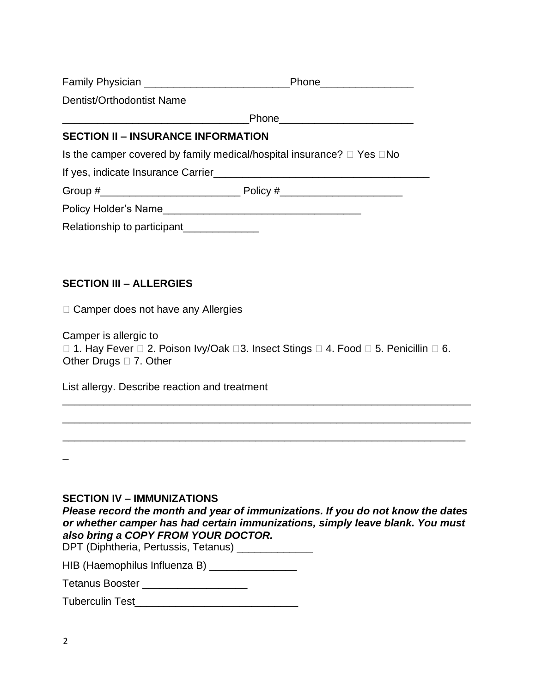|                                                                                  | Phone___________________            |  |  |  |  |
|----------------------------------------------------------------------------------|-------------------------------------|--|--|--|--|
| Dentist/Orthodontist Name                                                        |                                     |  |  |  |  |
|                                                                                  | Phone______________________________ |  |  |  |  |
| <b>SECTION II - INSURANCE INFORMATION</b>                                        |                                     |  |  |  |  |
| Is the camper covered by family medical/hospital insurance? $\Box$ Yes $\Box$ No |                                     |  |  |  |  |
|                                                                                  |                                     |  |  |  |  |
|                                                                                  |                                     |  |  |  |  |
|                                                                                  |                                     |  |  |  |  |
| Relationship to participant_____________                                         |                                     |  |  |  |  |

#### **SECTION III – ALLERGIES**

□ Camper does not have any Allergies

Camper is allergic to  $\Box$  1. Hay Fever  $\Box$  2. Poison Ivy/Oak  $\Box$  3. Insect Stings  $\Box$  4. Food  $\Box$  5. Penicillin  $\Box$  6. Other Drugs  $\Box$  7. Other

\_\_\_\_\_\_\_\_\_\_\_\_\_\_\_\_\_\_\_\_\_\_\_\_\_\_\_\_\_\_\_\_\_\_\_\_\_\_\_\_\_\_\_\_\_\_\_\_\_\_\_\_\_\_\_\_\_\_\_\_\_\_\_\_\_\_\_\_\_\_

\_\_\_\_\_\_\_\_\_\_\_\_\_\_\_\_\_\_\_\_\_\_\_\_\_\_\_\_\_\_\_\_\_\_\_\_\_\_\_\_\_\_\_\_\_\_\_\_\_\_\_\_\_\_\_\_\_\_\_\_\_\_\_\_\_\_\_\_\_\_

\_\_\_\_\_\_\_\_\_\_\_\_\_\_\_\_\_\_\_\_\_\_\_\_\_\_\_\_\_\_\_\_\_\_\_\_\_\_\_\_\_\_\_\_\_\_\_\_\_\_\_\_\_\_\_\_\_\_\_\_\_\_\_\_\_\_\_\_\_

List allergy. Describe reaction and treatment

#### **SECTION IV – IMMUNIZATIONS**

*Please record the month and year of immunizations. If you do not know the dates or whether camper has had certain immunizations, simply leave blank. You must also bring a COPY FROM YOUR DOCTOR.* 

DPT (Diphtheria, Pertussis, Tetanus) \_\_\_\_\_\_\_\_\_\_\_\_\_ HIB (Haemophilus Influenza B) \_\_\_\_\_\_\_\_\_\_\_\_\_\_\_\_

Tetanus Booster \_\_\_\_\_\_\_\_\_\_\_\_\_\_\_\_\_\_\_\_

| <b>Tuberculin Test</b> |  |
|------------------------|--|
|------------------------|--|

 $\overline{\phantom{a}}$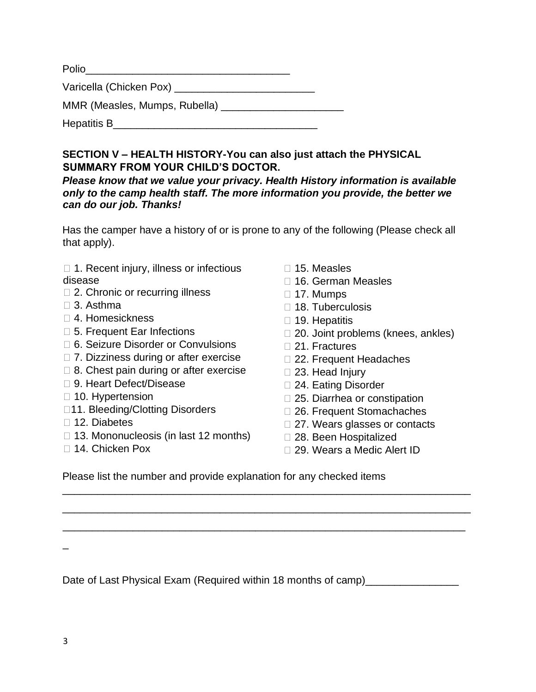| Polio                         |  |
|-------------------------------|--|
| Varicella (Chicken Pox) ____  |  |
| MMR (Measles, Mumps, Rubella) |  |
| Hepatitis B                   |  |

**SECTION V – HEALTH HISTORY-You can also just attach the PHYSICAL SUMMARY FROM YOUR CHILD'S DOCTOR.** 

*Please know that we value your privacy. Health History information is available only to the camp health staff. The more information you provide, the better we can do our job. Thanks!* 

Has the camper have a history of or is prone to any of the following (Please check all that apply).

- $\Box$  1. Recent injury, illness or infectious disease
- □ 2. Chronic or recurring illness
- 3. Asthma
- 4. Homesickness
- □ 5. Frequent Ear Infections
- □ 6. Seizure Disorder or Convulsions
- □ 7. Dizziness during or after exercise
- $\Box$  8. Chest pain during or after exercise
- □ 9. Heart Defect/Disease
- $\Box$  10. Hypertension
- □11. Bleeding/Clotting Disorders
- □ 12. Diabetes
- $\Box$  13. Mononucleosis (in last 12 months)
- □ 14. Chicken Pox
- $\Box$  15. Measles
- □ 16. German Measles
- $\Box$  17. Mumps
- □ 18. Tuberculosis
- $\Box$  19. Hepatitis
- □ 20. Joint problems (knees, ankles)
- □ 21. Fractures
- □ 22. Frequent Headaches
- □ 23. Head Injury
- 24. Eating Disorder
- □ 25. Diarrhea or constipation
- □ 26. Frequent Stomachaches
- □ 27. Wears glasses or contacts
- 28. Been Hospitalized
- □ 29. Wears a Medic Alert ID

Please list the number and provide explanation for any checked items

 $\overline{\phantom{a}}$ 

Date of Last Physical Exam (Required within 18 months of camp) [100]

\_\_\_\_\_\_\_\_\_\_\_\_\_\_\_\_\_\_\_\_\_\_\_\_\_\_\_\_\_\_\_\_\_\_\_\_\_\_\_\_\_\_\_\_\_\_\_\_\_\_\_\_\_\_\_\_\_\_\_\_\_\_\_\_\_\_\_\_\_\_

\_\_\_\_\_\_\_\_\_\_\_\_\_\_\_\_\_\_\_\_\_\_\_\_\_\_\_\_\_\_\_\_\_\_\_\_\_\_\_\_\_\_\_\_\_\_\_\_\_\_\_\_\_\_\_\_\_\_\_\_\_\_\_\_\_\_\_\_\_\_

\_\_\_\_\_\_\_\_\_\_\_\_\_\_\_\_\_\_\_\_\_\_\_\_\_\_\_\_\_\_\_\_\_\_\_\_\_\_\_\_\_\_\_\_\_\_\_\_\_\_\_\_\_\_\_\_\_\_\_\_\_\_\_\_\_\_\_\_\_